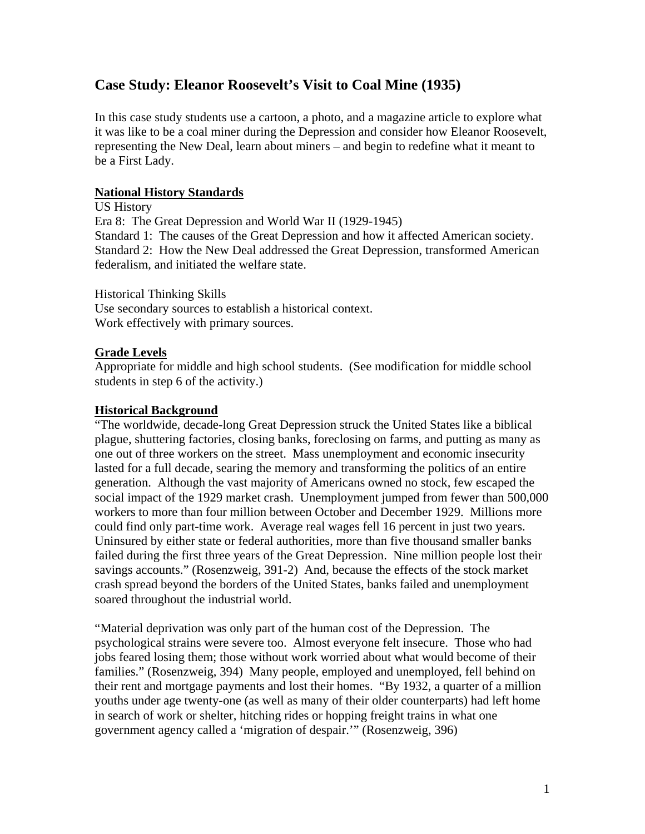## **Case Study: Eleanor Roosevelt's Visit to Coal Mine (1935)**

In this case study students use a cartoon, a photo, and a magazine article to explore what it was like to be a coal miner during the Depression and consider how Eleanor Roosevelt, representing the New Deal, learn about miners – and begin to redefine what it meant to be a First Lady.

#### **National History Standards**

US History Era 8: The Great Depression and World War II (1929-1945) Standard 1: The causes of the Great Depression and how it affected American society. Standard 2: How the New Deal addressed the Great Depression, transformed American federalism, and initiated the welfare state.

Historical Thinking Skills Use secondary sources to establish a historical context. Work effectively with primary sources.

#### **Grade Levels**

Appropriate for middle and high school students. (See modification for middle school students in step 6 of the activity.)

#### **Historical Background**

"The worldwide, decade-long Great Depression struck the United States like a biblical plague, shuttering factories, closing banks, foreclosing on farms, and putting as many as one out of three workers on the street. Mass unemployment and economic insecurity lasted for a full decade, searing the memory and transforming the politics of an entire generation. Although the vast majority of Americans owned no stock, few escaped the social impact of the 1929 market crash. Unemployment jumped from fewer than 500,000 workers to more than four million between October and December 1929. Millions more could find only part-time work. Average real wages fell 16 percent in just two years. Uninsured by either state or federal authorities, more than five thousand smaller banks failed during the first three years of the Great Depression. Nine million people lost their savings accounts." (Rosenzweig, 391-2) And, because the effects of the stock market crash spread beyond the borders of the United States, banks failed and unemployment soared throughout the industrial world.

"Material deprivation was only part of the human cost of the Depression. The psychological strains were severe too. Almost everyone felt insecure. Those who had jobs feared losing them; those without work worried about what would become of their families." (Rosenzweig, 394) Many people, employed and unemployed, fell behind on their rent and mortgage payments and lost their homes. "By 1932, a quarter of a million youths under age twenty-one (as well as many of their older counterparts) had left home in search of work or shelter, hitching rides or hopping freight trains in what one government agency called a 'migration of despair.'" (Rosenzweig, 396)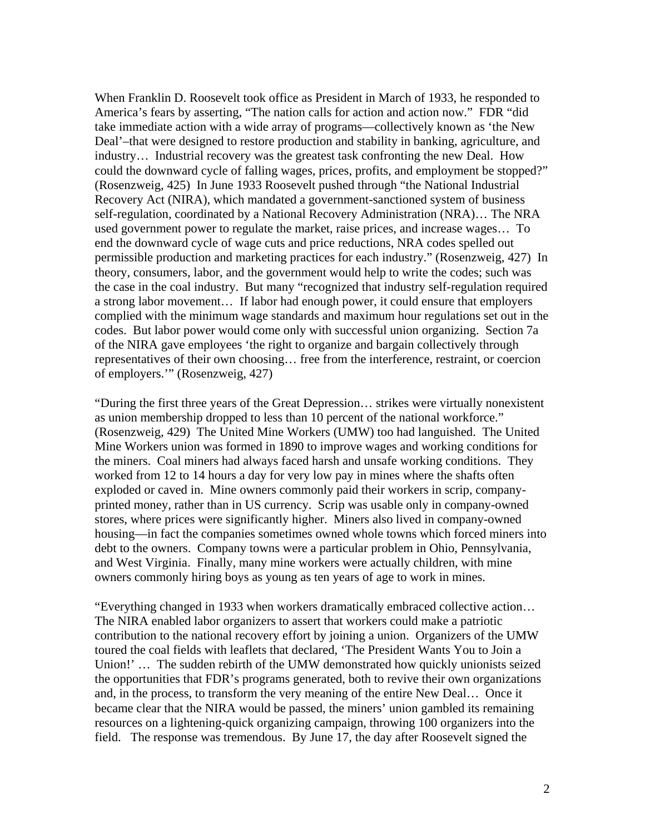When Franklin D. Roosevelt took office as President in March of 1933, he responded to America's fears by asserting, "The nation calls for action and action now." FDR "did take immediate action with a wide array of programs—collectively known as 'the New Deal'–that were designed to restore production and stability in banking, agriculture, and industry… Industrial recovery was the greatest task confronting the new Deal. How could the downward cycle of falling wages, prices, profits, and employment be stopped?" (Rosenzweig, 425) In June 1933 Roosevelt pushed through "the National Industrial Recovery Act (NIRA), which mandated a government-sanctioned system of business self-regulation, coordinated by a National Recovery Administration (NRA)… The NRA used government power to regulate the market, raise prices, and increase wages… To end the downward cycle of wage cuts and price reductions, NRA codes spelled out permissible production and marketing practices for each industry." (Rosenzweig, 427) In theory, consumers, labor, and the government would help to write the codes; such was the case in the coal industry. But many "recognized that industry self-regulation required a strong labor movement… If labor had enough power, it could ensure that employers complied with the minimum wage standards and maximum hour regulations set out in the codes. But labor power would come only with successful union organizing. Section 7a of the NIRA gave employees 'the right to organize and bargain collectively through representatives of their own choosing… free from the interference, restraint, or coercion of employers.'" (Rosenzweig, 427)

"During the first three years of the Great Depression… strikes were virtually nonexistent as union membership dropped to less than 10 percent of the national workforce." (Rosenzweig, 429) The United Mine Workers (UMW) too had languished. The United Mine Workers union was formed in 1890 to improve wages and working conditions for the miners. Coal miners had always faced harsh and unsafe working conditions. They worked from 12 to 14 hours a day for very low pay in mines where the shafts often exploded or caved in. Mine owners commonly paid their workers in scrip, companyprinted money, rather than in US currency. Scrip was usable only in company-owned stores, where prices were significantly higher. Miners also lived in company-owned housing—in fact the companies sometimes owned whole towns which forced miners into debt to the owners. Company towns were a particular problem in Ohio, Pennsylvania, and West Virginia. Finally, many mine workers were actually children, with mine owners commonly hiring boys as young as ten years of age to work in mines.

"Everything changed in 1933 when workers dramatically embraced collective action… The NIRA enabled labor organizers to assert that workers could make a patriotic contribution to the national recovery effort by joining a union. Organizers of the UMW toured the coal fields with leaflets that declared, 'The President Wants You to Join a Union!' … The sudden rebirth of the UMW demonstrated how quickly unionists seized the opportunities that FDR's programs generated, both to revive their own organizations and, in the process, to transform the very meaning of the entire New Deal… Once it became clear that the NIRA would be passed, the miners' union gambled its remaining resources on a lightening-quick organizing campaign, throwing 100 organizers into the field. The response was tremendous. By June 17, the day after Roosevelt signed the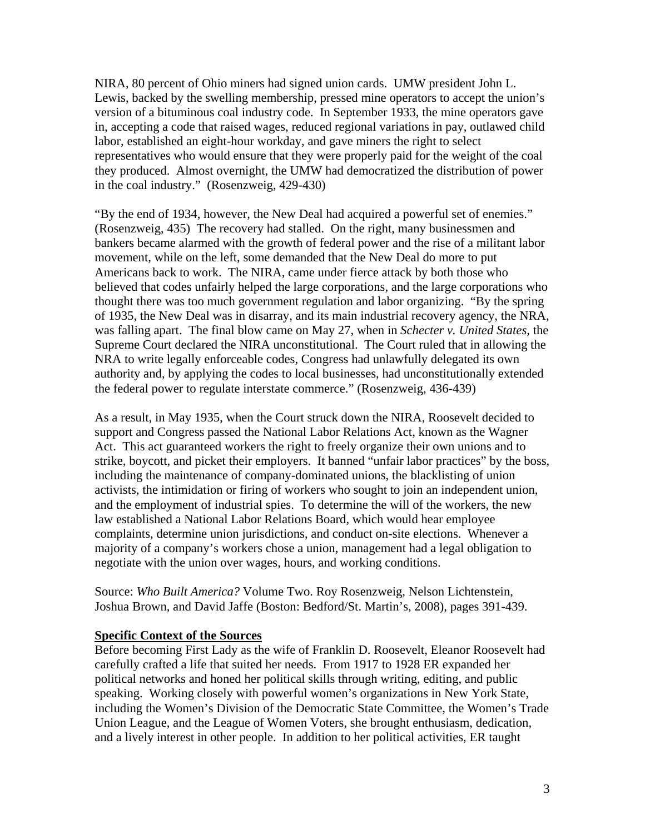NIRA, 80 percent of Ohio miners had signed union cards. UMW president John L. Lewis, backed by the swelling membership, pressed mine operators to accept the union's version of a bituminous coal industry code. In September 1933, the mine operators gave in, accepting a code that raised wages, reduced regional variations in pay, outlawed child labor, established an eight-hour workday, and gave miners the right to select representatives who would ensure that they were properly paid for the weight of the coal they produced. Almost overnight, the UMW had democratized the distribution of power in the coal industry." (Rosenzweig, 429-430)

"By the end of 1934, however, the New Deal had acquired a powerful set of enemies." (Rosenzweig, 435) The recovery had stalled. On the right, many businessmen and bankers became alarmed with the growth of federal power and the rise of a militant labor movement, while on the left, some demanded that the New Deal do more to put Americans back to work. The NIRA, came under fierce attack by both those who believed that codes unfairly helped the large corporations, and the large corporations who thought there was too much government regulation and labor organizing. "By the spring of 1935, the New Deal was in disarray, and its main industrial recovery agency, the NRA, was falling apart. The final blow came on May 27, when in *Schecter v. United States,* the Supreme Court declared the NIRA unconstitutional. The Court ruled that in allowing the NRA to write legally enforceable codes, Congress had unlawfully delegated its own authority and, by applying the codes to local businesses, had unconstitutionally extended the federal power to regulate interstate commerce." (Rosenzweig, 436-439)

As a result, in May 1935, when the Court struck down the NIRA, Roosevelt decided to support and Congress passed the National Labor Relations Act, known as the Wagner Act. This act guaranteed workers the right to freely organize their own unions and to strike, boycott, and picket their employers. It banned "unfair labor practices" by the boss, including the maintenance of company-dominated unions, the blacklisting of union activists, the intimidation or firing of workers who sought to join an independent union, and the employment of industrial spies. To determine the will of the workers, the new law established a National Labor Relations Board, which would hear employee complaints, determine union jurisdictions, and conduct on-site elections. Whenever a majority of a company's workers chose a union, management had a legal obligation to negotiate with the union over wages, hours, and working conditions.

Source: *Who Built America?* Volume Two. Roy Rosenzweig, Nelson Lichtenstein, Joshua Brown, and David Jaffe (Boston: Bedford/St. Martin's, 2008), pages 391-439.

#### **Specific Context of the Sources**

Before becoming First Lady as the wife of Franklin D. Roosevelt, Eleanor Roosevelt had carefully crafted a life that suited her needs. From 1917 to 1928 ER expanded her political networks and honed her political skills through writing, editing, and public speaking. Working closely with powerful women's organizations in New York State, including the Women's Division of the Democratic State Committee, the Women's Trade Union League, and the League of Women Voters, she brought enthusiasm, dedication, and a lively interest in other people. In addition to her political activities, ER taught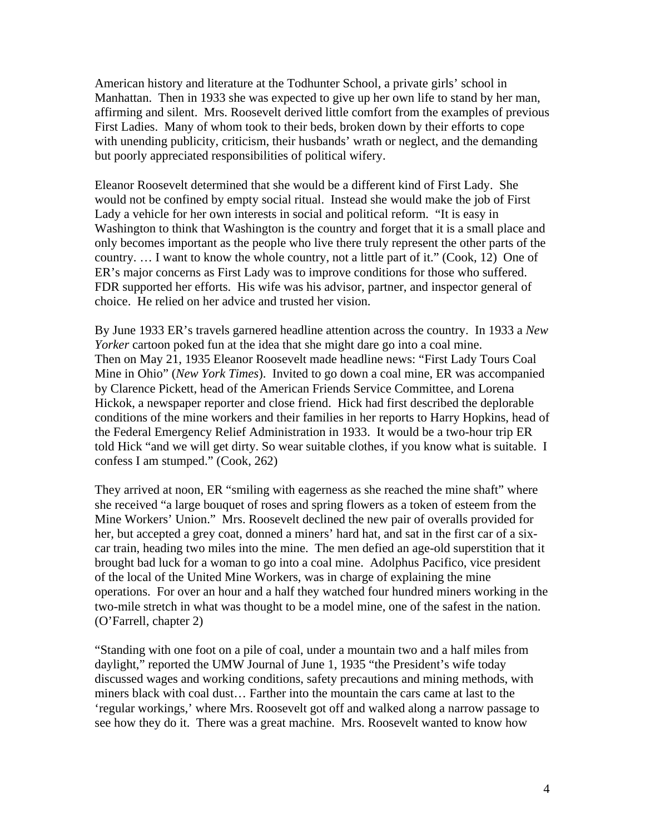American history and literature at the Todhunter School, a private girls' school in Manhattan. Then in 1933 she was expected to give up her own life to stand by her man, affirming and silent. Mrs. Roosevelt derived little comfort from the examples of previous First Ladies. Many of whom took to their beds, broken down by their efforts to cope with unending publicity, criticism, their husbands' wrath or neglect, and the demanding but poorly appreciated responsibilities of political wifery.

Eleanor Roosevelt determined that she would be a different kind of First Lady. She would not be confined by empty social ritual. Instead she would make the job of First Lady a vehicle for her own interests in social and political reform. "It is easy in Washington to think that Washington is the country and forget that it is a small place and only becomes important as the people who live there truly represent the other parts of the country. … I want to know the whole country, not a little part of it." (Cook, 12) One of ER's major concerns as First Lady was to improve conditions for those who suffered. FDR supported her efforts. His wife was his advisor, partner, and inspector general of choice. He relied on her advice and trusted her vision.

By June 1933 ER's travels garnered headline attention across the country. In 1933 a *New Yorker* cartoon poked fun at the idea that she might dare go into a coal mine. Then on May 21, 1935 Eleanor Roosevelt made headline news: "First Lady Tours Coal Mine in Ohio" (*New York Times*). Invited to go down a coal mine, ER was accompanied by Clarence Pickett, head of the American Friends Service Committee, and Lorena Hickok, a newspaper reporter and close friend. Hick had first described the deplorable conditions of the mine workers and their families in her reports to Harry Hopkins, head of the Federal Emergency Relief Administration in 1933. It would be a two-hour trip ER told Hick "and we will get dirty. So wear suitable clothes, if you know what is suitable. I confess I am stumped." (Cook, 262)

They arrived at noon, ER "smiling with eagerness as she reached the mine shaft" where she received "a large bouquet of roses and spring flowers as a token of esteem from the Mine Workers' Union." Mrs. Roosevelt declined the new pair of overalls provided for her, but accepted a grey coat, donned a miners' hard hat, and sat in the first car of a sixcar train, heading two miles into the mine. The men defied an age-old superstition that it brought bad luck for a woman to go into a coal mine. Adolphus Pacifico, vice president of the local of the United Mine Workers, was in charge of explaining the mine operations. For over an hour and a half they watched four hundred miners working in the two-mile stretch in what was thought to be a model mine, one of the safest in the nation. (O'Farrell, chapter 2)

"Standing with one foot on a pile of coal, under a mountain two and a half miles from daylight," reported the UMW Journal of June 1, 1935 "the President's wife today discussed wages and working conditions, safety precautions and mining methods, with miners black with coal dust… Farther into the mountain the cars came at last to the 'regular workings,' where Mrs. Roosevelt got off and walked along a narrow passage to see how they do it. There was a great machine. Mrs. Roosevelt wanted to know how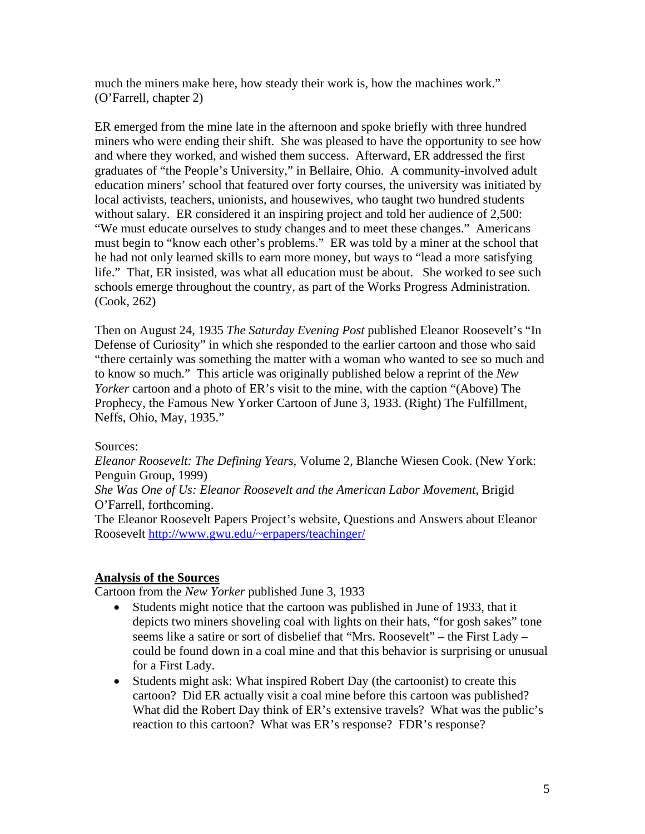much the miners make here, how steady their work is, how the machines work." (O'Farrell, chapter 2)

ER emerged from the mine late in the afternoon and spoke briefly with three hundred miners who were ending their shift. She was pleased to have the opportunity to see how and where they worked, and wished them success. Afterward, ER addressed the first graduates of "the People's University," in Bellaire, Ohio. A community-involved adult education miners' school that featured over forty courses, the university was initiated by local activists, teachers, unionists, and housewives, who taught two hundred students without salary. ER considered it an inspiring project and told her audience of 2,500: "We must educate ourselves to study changes and to meet these changes." Americans must begin to "know each other's problems." ER was told by a miner at the school that he had not only learned skills to earn more money, but ways to "lead a more satisfying life." That, ER insisted, was what all education must be about. She worked to see such schools emerge throughout the country, as part of the Works Progress Administration. (Cook, 262)

Then on August 24, 1935 *The Saturday Evening Post* published Eleanor Roosevelt's "In Defense of Curiosity" in which she responded to the earlier cartoon and those who said "there certainly was something the matter with a woman who wanted to see so much and to know so much." This article was originally published below a reprint of the *New Yorker* cartoon and a photo of ER's visit to the mine, with the caption "(Above) The Prophecy, the Famous New Yorker Cartoon of June 3, 1933. (Right) The Fulfillment, Neffs, Ohio, May, 1935."

#### Sources:

*Eleanor Roosevelt: The Defining Years*, Volume 2, Blanche Wiesen Cook. (New York: Penguin Group, 1999)

*She Was One of Us: Eleanor Roosevelt and the American Labor Movement,* Brigid O'Farrell, forthcoming.

The Eleanor Roosevelt Papers Project's website, Questions and Answers about Eleanor Roosevelt http://www.gwu.edu/~erpapers/teachinger/

#### **Analysis of the Sources**

Cartoon from the *New Yorker* published June 3, 1933

- Students might notice that the cartoon was published in June of 1933, that it depicts two miners shoveling coal with lights on their hats, "for gosh sakes" tone seems like a satire or sort of disbelief that "Mrs. Roosevelt" – the First Lady – could be found down in a coal mine and that this behavior is surprising or unusual for a First Lady.
- Students might ask: What inspired Robert Day (the cartoonist) to create this cartoon? Did ER actually visit a coal mine before this cartoon was published? What did the Robert Day think of ER's extensive travels? What was the public's reaction to this cartoon? What was ER's response? FDR's response?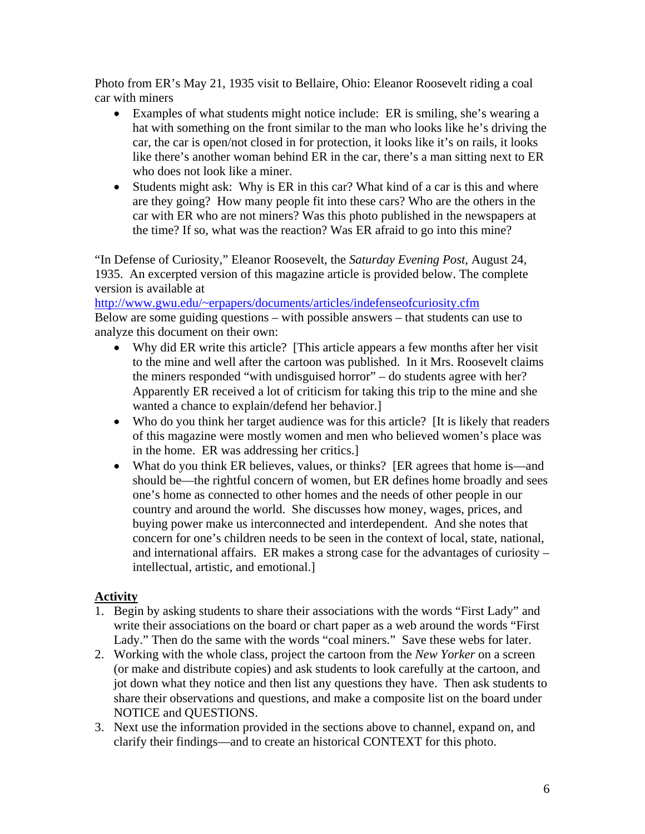Photo from ER's May 21, 1935 visit to Bellaire, Ohio: Eleanor Roosevelt riding a coal car with miners

- Examples of what students might notice include: ER is smiling, she's wearing a hat with something on the front similar to the man who looks like he's driving the car, the car is open/not closed in for protection, it looks like it's on rails, it looks like there's another woman behind ER in the car, there's a man sitting next to ER who does not look like a miner.
- Students might ask: Why is ER in this car? What kind of a car is this and where are they going? How many people fit into these cars? Who are the others in the car with ER who are not miners? Was this photo published in the newspapers at the time? If so, what was the reaction? Was ER afraid to go into this mine?

"In Defense of Curiosity," Eleanor Roosevelt, the *Saturday Evening Post*, August 24, 1935. An excerpted version of this magazine article is provided below. The complete version is available at

http://www.gwu.edu/~erpapers/documents/articles/indefenseofcuriosity.cfm Below are some guiding questions – with possible answers – that students can use to analyze this document on their own:

- Why did ER write this article? [This article appears a few months after her visit to the mine and well after the cartoon was published. In it Mrs. Roosevelt claims the miners responded "with undisguised horror" – do students agree with her? Apparently ER received a lot of criticism for taking this trip to the mine and she wanted a chance to explain/defend her behavior.]
- Who do you think her target audience was for this article? [It is likely that readers of this magazine were mostly women and men who believed women's place was in the home. ER was addressing her critics.]
- What do you think ER believes, values, or thinks? [ER agrees that home is—and should be—the rightful concern of women, but ER defines home broadly and sees one's home as connected to other homes and the needs of other people in our country and around the world. She discusses how money, wages, prices, and buying power make us interconnected and interdependent. And she notes that concern for one's children needs to be seen in the context of local, state, national, and international affairs. ER makes a strong case for the advantages of curiosity – intellectual, artistic, and emotional.]

### **Activity**

- 1. Begin by asking students to share their associations with the words "First Lady" and write their associations on the board or chart paper as a web around the words "First Lady." Then do the same with the words "coal miners." Save these webs for later.
- 2. Working with the whole class, project the cartoon from the *New Yorker* on a screen (or make and distribute copies) and ask students to look carefully at the cartoon, and jot down what they notice and then list any questions they have. Then ask students to share their observations and questions, and make a composite list on the board under NOTICE and QUESTIONS.
- 3. Next use the information provided in the sections above to channel, expand on, and clarify their findings—and to create an historical CONTEXT for this photo.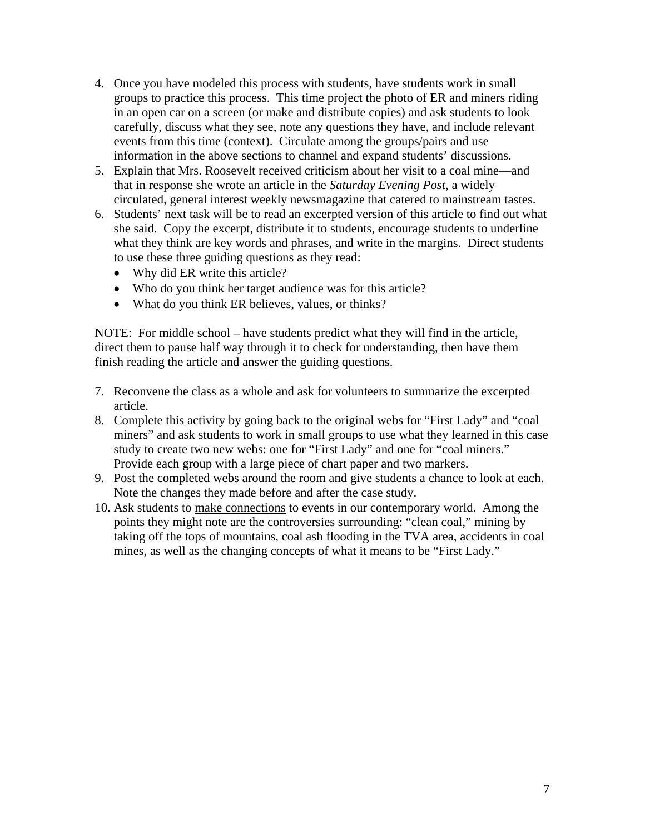- 4. Once you have modeled this process with students, have students work in small groups to practice this process. This time project the photo of ER and miners riding in an open car on a screen (or make and distribute copies) and ask students to look carefully, discuss what they see, note any questions they have, and include relevant events from this time (context). Circulate among the groups/pairs and use information in the above sections to channel and expand students' discussions.
- 5. Explain that Mrs. Roosevelt received criticism about her visit to a coal mine—and that in response she wrote an article in the *Saturday Evening Post*, a widely circulated, general interest weekly newsmagazine that catered to mainstream tastes.
- 6. Students' next task will be to read an excerpted version of this article to find out what she said. Copy the excerpt, distribute it to students, encourage students to underline what they think are key words and phrases, and write in the margins. Direct students to use these three guiding questions as they read:
	- Why did ER write this article?
	- Who do you think her target audience was for this article?
	- What do you think ER believes, values, or thinks?

NOTE: For middle school – have students predict what they will find in the article, direct them to pause half way through it to check for understanding, then have them finish reading the article and answer the guiding questions.

- 7. Reconvene the class as a whole and ask for volunteers to summarize the excerpted article.
- 8. Complete this activity by going back to the original webs for "First Lady" and "coal miners" and ask students to work in small groups to use what they learned in this case study to create two new webs: one for "First Lady" and one for "coal miners." Provide each group with a large piece of chart paper and two markers.
- 9. Post the completed webs around the room and give students a chance to look at each. Note the changes they made before and after the case study.
- 10. Ask students to make connections to events in our contemporary world. Among the points they might note are the controversies surrounding: "clean coal," mining by taking off the tops of mountains, coal ash flooding in the TVA area, accidents in coal mines, as well as the changing concepts of what it means to be "First Lady."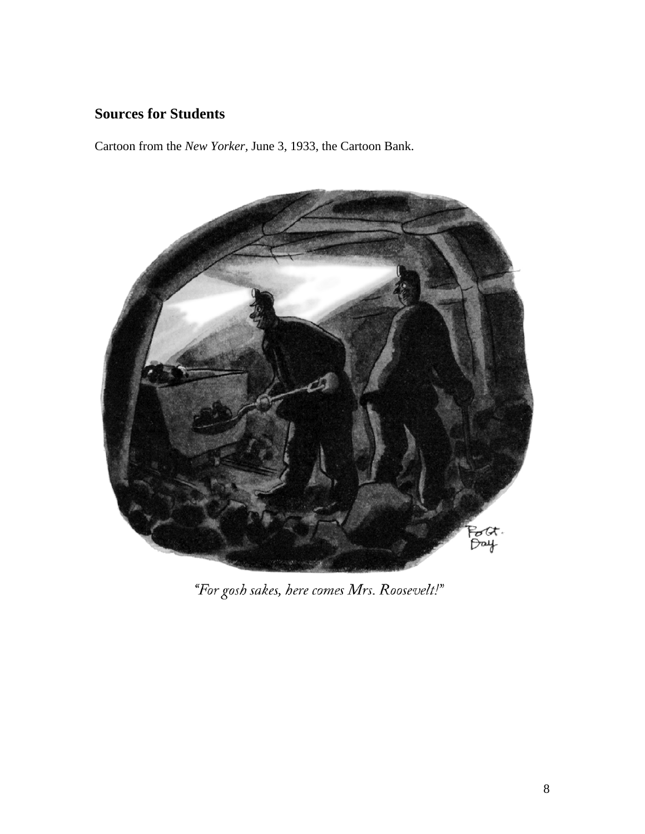# **Sources for Students**

Cartoon from the *New Yorker,* June 3, 1933, the Cartoon Bank.



"For gosh sakes, here comes Mrs. Roosevelt!"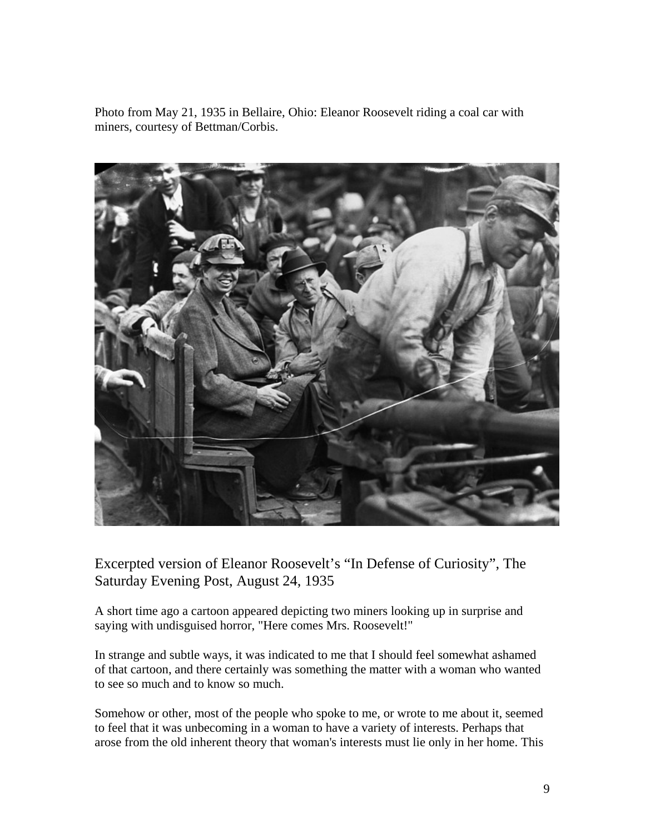Photo from May 21, 1935 in Bellaire, Ohio: Eleanor Roosevelt riding a coal car with miners, courtesy of Bettman/Corbis.



Excerpted version of Eleanor Roosevelt's "In Defense of Curiosity", The Saturday Evening Post, August 24, 1935

A short time ago a cartoon appeared depicting two miners looking up in surprise and saying with undisguised horror, "Here comes Mrs. Roosevelt!"

In strange and subtle ways, it was indicated to me that I should feel somewhat ashamed of that cartoon, and there certainly was something the matter with a woman who wanted to see so much and to know so much.

Somehow or other, most of the people who spoke to me, or wrote to me about it, seemed to feel that it was unbecoming in a woman to have a variety of interests. Perhaps that arose from the old inherent theory that woman's interests must lie only in her home. This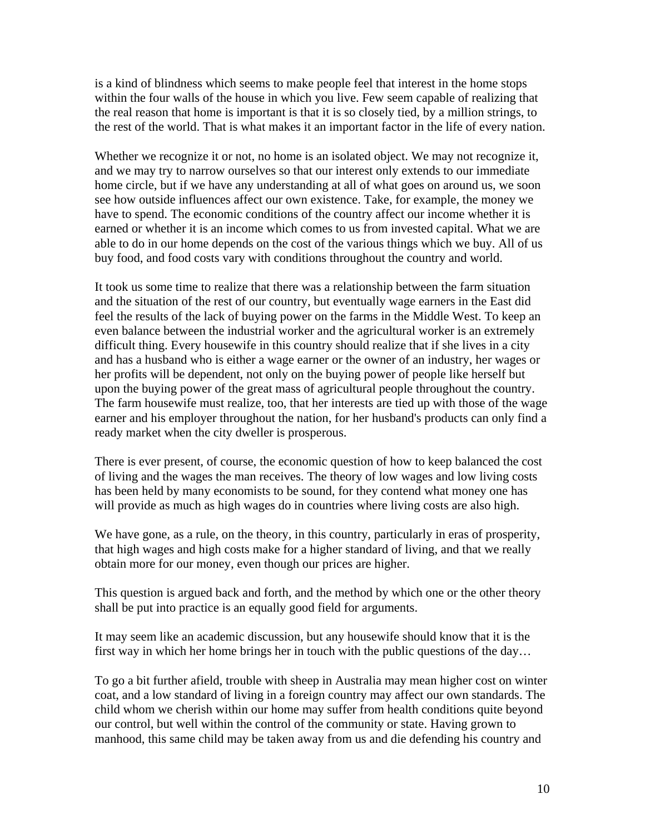is a kind of blindness which seems to make people feel that interest in the home stops within the four walls of the house in which you live. Few seem capable of realizing that the real reason that home is important is that it is so closely tied, by a million strings, to the rest of the world. That is what makes it an important factor in the life of every nation.

Whether we recognize it or not, no home is an isolated object. We may not recognize it, and we may try to narrow ourselves so that our interest only extends to our immediate home circle, but if we have any understanding at all of what goes on around us, we soon see how outside influences affect our own existence. Take, for example, the money we have to spend. The economic conditions of the country affect our income whether it is earned or whether it is an income which comes to us from invested capital. What we are able to do in our home depends on the cost of the various things which we buy. All of us buy food, and food costs vary with conditions throughout the country and world.

It took us some time to realize that there was a relationship between the farm situation and the situation of the rest of our country, but eventually wage earners in the East did feel the results of the lack of buying power on the farms in the Middle West. To keep an even balance between the industrial worker and the agricultural worker is an extremely difficult thing. Every housewife in this country should realize that if she lives in a city and has a husband who is either a wage earner or the owner of an industry, her wages or her profits will be dependent, not only on the buying power of people like herself but upon the buying power of the great mass of agricultural people throughout the country. The farm housewife must realize, too, that her interests are tied up with those of the wage earner and his employer throughout the nation, for her husband's products can only find a ready market when the city dweller is prosperous.

There is ever present, of course, the economic question of how to keep balanced the cost of living and the wages the man receives. The theory of low wages and low living costs has been held by many economists to be sound, for they contend what money one has will provide as much as high wages do in countries where living costs are also high.

We have gone, as a rule, on the theory, in this country, particularly in eras of prosperity, that high wages and high costs make for a higher standard of living, and that we really obtain more for our money, even though our prices are higher.

This question is argued back and forth, and the method by which one or the other theory shall be put into practice is an equally good field for arguments.

It may seem like an academic discussion, but any housewife should know that it is the first way in which her home brings her in touch with the public questions of the day…

To go a bit further afield, trouble with sheep in Australia may mean higher cost on winter coat, and a low standard of living in a foreign country may affect our own standards. The child whom we cherish within our home may suffer from health conditions quite beyond our control, but well within the control of the community or state. Having grown to manhood, this same child may be taken away from us and die defending his country and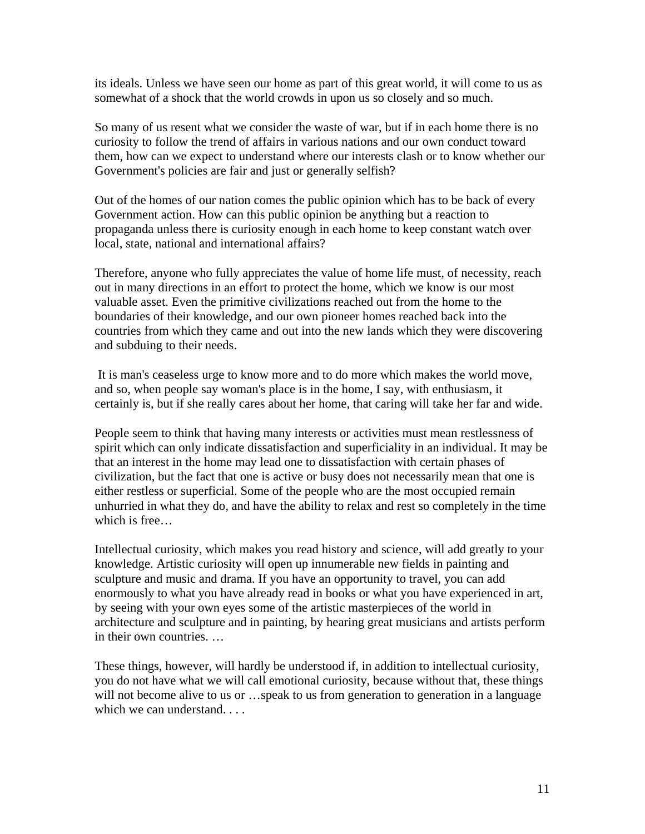its ideals. Unless we have seen our home as part of this great world, it will come to us as somewhat of a shock that the world crowds in upon us so closely and so much.

So many of us resent what we consider the waste of war, but if in each home there is no curiosity to follow the trend of affairs in various nations and our own conduct toward them, how can we expect to understand where our interests clash or to know whether our Government's policies are fair and just or generally selfish?

Out of the homes of our nation comes the public opinion which has to be back of every Government action. How can this public opinion be anything but a reaction to propaganda unless there is curiosity enough in each home to keep constant watch over local, state, national and international affairs?

Therefore, anyone who fully appreciates the value of home life must, of necessity, reach out in many directions in an effort to protect the home, which we know is our most valuable asset. Even the primitive civilizations reached out from the home to the boundaries of their knowledge, and our own pioneer homes reached back into the countries from which they came and out into the new lands which they were discovering and subduing to their needs.

 It is man's ceaseless urge to know more and to do more which makes the world move, and so, when people say woman's place is in the home, I say, with enthusiasm, it certainly is, but if she really cares about her home, that caring will take her far and wide.

People seem to think that having many interests or activities must mean restlessness of spirit which can only indicate dissatisfaction and superficiality in an individual. It may be that an interest in the home may lead one to dissatisfaction with certain phases of civilization, but the fact that one is active or busy does not necessarily mean that one is either restless or superficial. Some of the people who are the most occupied remain unhurried in what they do, and have the ability to relax and rest so completely in the time which is free…

Intellectual curiosity, which makes you read history and science, will add greatly to your knowledge. Artistic curiosity will open up innumerable new fields in painting and sculpture and music and drama. If you have an opportunity to travel, you can add enormously to what you have already read in books or what you have experienced in art, by seeing with your own eyes some of the artistic masterpieces of the world in architecture and sculpture and in painting, by hearing great musicians and artists perform in their own countries. …

These things, however, will hardly be understood if, in addition to intellectual curiosity, you do not have what we will call emotional curiosity, because without that, these things will not become alive to us or ...speak to us from generation to generation in a language which we can understand...